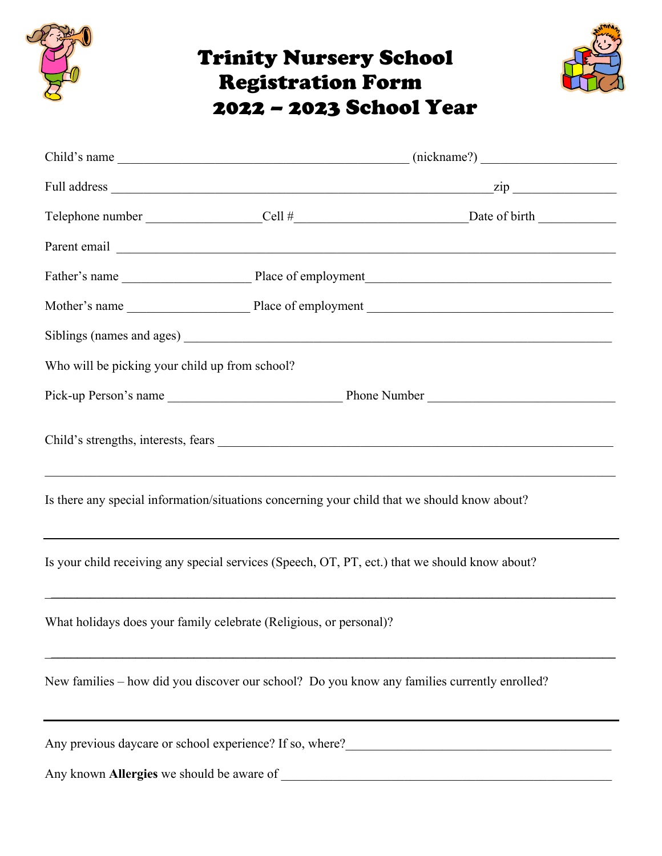

## Trinity Nursery School Registration Form 2022 – 2023 School Year



|                                                                                              |                                                                                                                  | Parent email expression and the contract of the contract of the contract of the contract of the contract of the contract of the contract of the contract of the contract of the contract of the contract of the contract of th |  |
|----------------------------------------------------------------------------------------------|------------------------------------------------------------------------------------------------------------------|--------------------------------------------------------------------------------------------------------------------------------------------------------------------------------------------------------------------------------|--|
|                                                                                              |                                                                                                                  |                                                                                                                                                                                                                                |  |
|                                                                                              |                                                                                                                  |                                                                                                                                                                                                                                |  |
|                                                                                              |                                                                                                                  |                                                                                                                                                                                                                                |  |
| Who will be picking your child up from school?                                               |                                                                                                                  |                                                                                                                                                                                                                                |  |
|                                                                                              |                                                                                                                  |                                                                                                                                                                                                                                |  |
|                                                                                              |                                                                                                                  |                                                                                                                                                                                                                                |  |
| Is there any special information/situations concerning your child that we should know about? |                                                                                                                  |                                                                                                                                                                                                                                |  |
|                                                                                              |                                                                                                                  | Is your child receiving any special services (Speech, OT, PT, ect.) that we should know about?                                                                                                                                 |  |
| What holidays does your family celebrate (Religious, or personal)?                           |                                                                                                                  |                                                                                                                                                                                                                                |  |
|                                                                                              | and the control of the control of the control of the control of the control of the control of the control of the | New families - how did you discover our school? Do you know any families currently enrolled?                                                                                                                                   |  |
|                                                                                              |                                                                                                                  | Any previous daycare or school experience? If so, where?                                                                                                                                                                       |  |
|                                                                                              |                                                                                                                  |                                                                                                                                                                                                                                |  |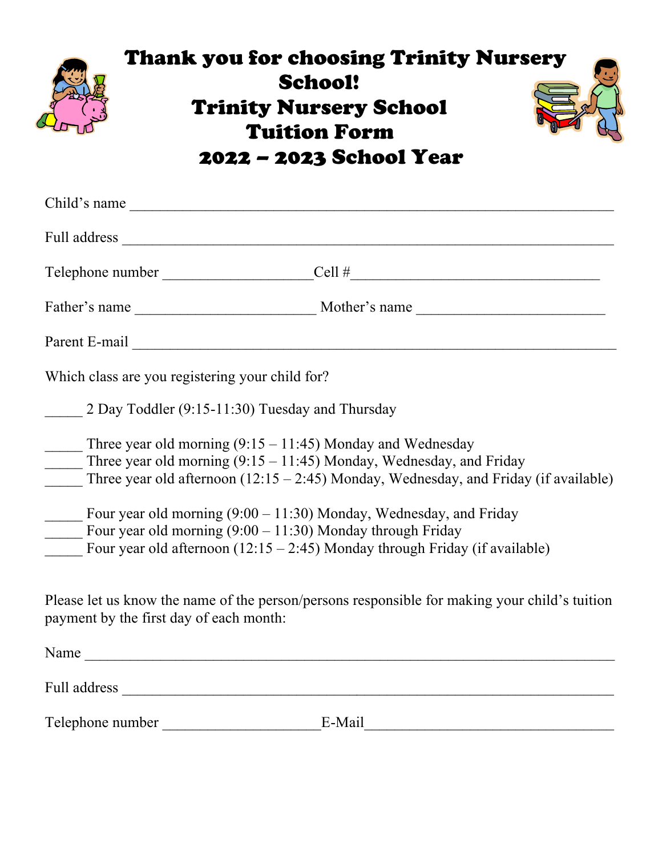

## Thank you for choosing Trinity Nursery School! Trinity Nursery School Tuition Form 2022 – 2023 School Year

| Child's name                                                                                                                                                                                                                         |                                                                                                                                                                 |  |
|--------------------------------------------------------------------------------------------------------------------------------------------------------------------------------------------------------------------------------------|-----------------------------------------------------------------------------------------------------------------------------------------------------------------|--|
|                                                                                                                                                                                                                                      |                                                                                                                                                                 |  |
|                                                                                                                                                                                                                                      | Telephone number ________________________Cell #_________________________________                                                                                |  |
|                                                                                                                                                                                                                                      |                                                                                                                                                                 |  |
| Parent E-mail <u>and the community of the contract of the contract of the contract of the contract of the contract of the contract of the contract of the contract of the contract of the contract of the contract of the contra</u> |                                                                                                                                                                 |  |
| Which class are you registering your child for?                                                                                                                                                                                      |                                                                                                                                                                 |  |
| 2 Day Toddler (9:15-11:30) Tuesday and Thursday                                                                                                                                                                                      |                                                                                                                                                                 |  |
| Three year old morning $(9:15 - 11:45)$ Monday and Wednesday                                                                                                                                                                         | Three year old morning $(9:15 - 11:45)$ Monday, Wednesday, and Friday<br>Three year old afternoon $(12.15 - 2.45)$ Monday, Wednesday, and Friday (if available) |  |
| Four year old morning $(9:00 - 11:30)$ Monday, Wednesday, and Friday<br>Four year old morning $(9:00 - 11:30)$ Monday through Friday<br>Four year old afternoon $(12:15 - 2:45)$ Monday through Friday (if available)                |                                                                                                                                                                 |  |
| Please let us know the name of the person/persons responsible for making your child's tuition<br>payment by the first day of each month:                                                                                             |                                                                                                                                                                 |  |
| Name                                                                                                                                                                                                                                 |                                                                                                                                                                 |  |
|                                                                                                                                                                                                                                      |                                                                                                                                                                 |  |
| Telephone number                                                                                                                                                                                                                     | E-Mail                                                                                                                                                          |  |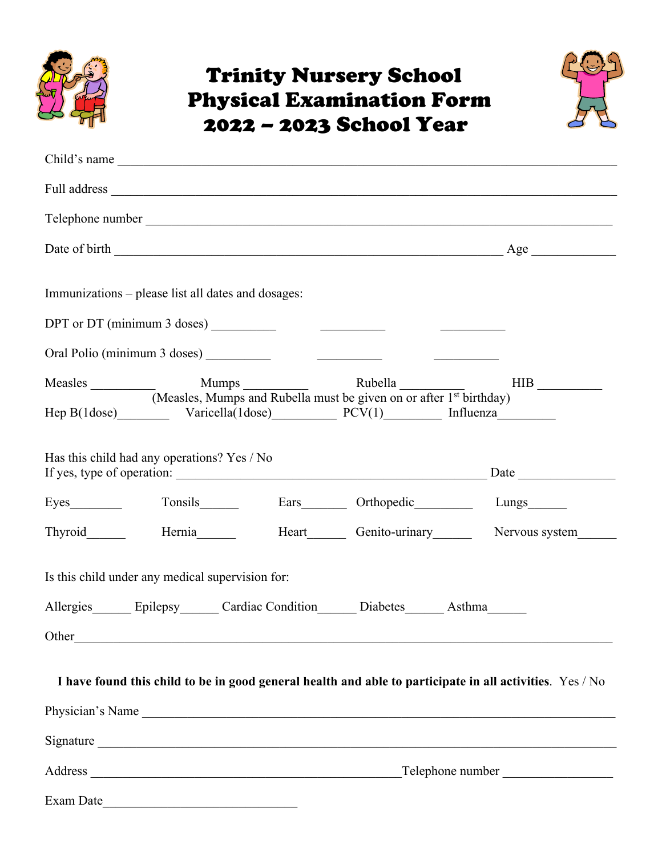

### Trinity Nursery School Physical Examination Form 2022 – 2023 School Year



| Child's name                                                                                                                      |                                                               |  |  |
|-----------------------------------------------------------------------------------------------------------------------------------|---------------------------------------------------------------|--|--|
|                                                                                                                                   |                                                               |  |  |
|                                                                                                                                   |                                                               |  |  |
|                                                                                                                                   |                                                               |  |  |
| Immunizations – please list all dates and dosages:                                                                                |                                                               |  |  |
|                                                                                                                                   | <u> 1980 - John Stone Barbara, martin a</u>                   |  |  |
|                                                                                                                                   |                                                               |  |  |
| Measles                                                                                                                           | Mumps Rubella                                                 |  |  |
| (Measles, Mumps and Rubella must be given on or after 1 <sup>st</sup> birthday)<br>Hep B(1dose) Varicella(1dose) PCV(1) Influenza |                                                               |  |  |
| Has this child had any operations? Yes / No<br>If yes, type of operation:<br>Hernia_______                                        | Heart_________ Genito-urinary__________ Nervous system_______ |  |  |
| Is this child under any medical supervision for:                                                                                  |                                                               |  |  |
| Allergies Epilepsy Cardiac Condition Diabetes Asthma                                                                              |                                                               |  |  |
| Other<br><u> 1989 - Johann Amerikaanse kommunister († 1958)</u>                                                                   |                                                               |  |  |
| I have found this child to be in good general health and able to participate in all activities. Yes / No                          |                                                               |  |  |
|                                                                                                                                   | Physician's Name                                              |  |  |
|                                                                                                                                   |                                                               |  |  |
|                                                                                                                                   | Telephone number                                              |  |  |

Exam Date\_\_\_\_\_\_\_\_\_\_\_\_\_\_\_\_\_\_\_\_\_\_\_\_\_\_\_\_\_\_